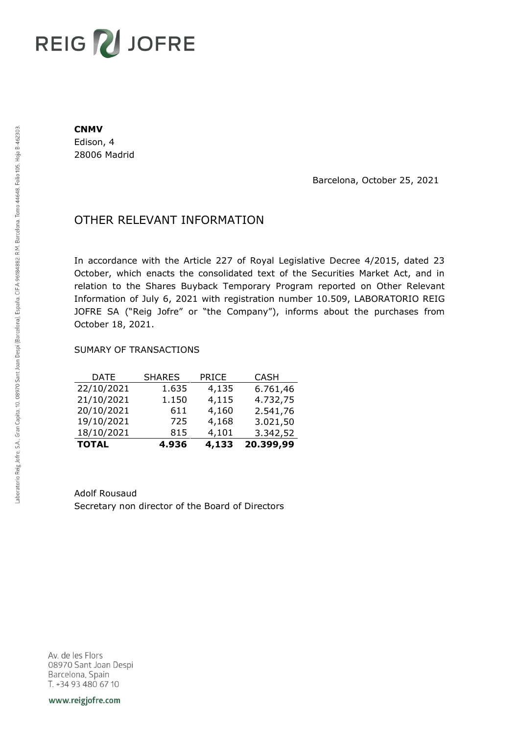# REIG V JOFRE

#### **CNMV**

Edison, 4 28006 Madrid

Barcelona, October 25, 2021

## OTHER RELEVANT INFORMATION

In accordance with the Article 227 of Royal Legislative Decree 4/2015, dated 23 October, which enacts the consolidated text of the Securities Market Act, and in relation to the Shares Buyback Temporary Program reported on Other Relevant Information of July 6, 2021 with registration number 10.509, LABORATORIO REIG JOFRE SA ("Reig Jofre" or "the Company"), informs about the purchases from October 18, 2021.

### SUMARY OF TRANSACTIONS

| <b>TOTAL</b> | 4.936         | 4,133        | 20.399,99   |
|--------------|---------------|--------------|-------------|
| 18/10/2021   | 815           | 4,101        | 3.342,52    |
| 19/10/2021   | 725           | 4,168        | 3.021,50    |
| 20/10/2021   | 611           | 4,160        | 2.541,76    |
| 21/10/2021   | 1.150         | 4,115        | 4.732,75    |
| 22/10/2021   | 1.635         | 4,135        | 6.761,46    |
| DATE         | <b>SHARES</b> | <b>PRICE</b> | <b>CASH</b> |

Adolf Rousaud Secretary non director of the Board of Directors

Av. de les Flors 08970 Sant Joan Despi Barcelona, Spain T. +34 93 480 67 10

www.reigjofre.com